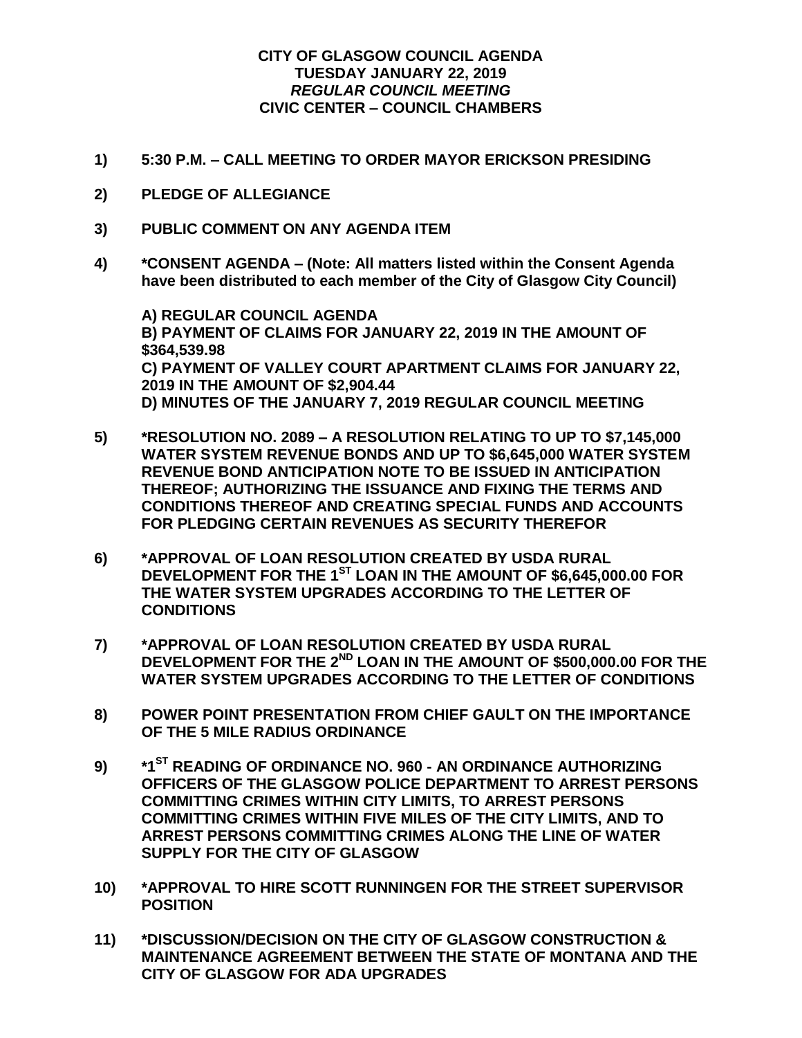## **CITY OF GLASGOW COUNCIL AGENDA TUESDAY JANUARY 22, 2019** *REGULAR COUNCIL MEETING* **CIVIC CENTER – COUNCIL CHAMBERS**

- **1) 5:30 P.M. – CALL MEETING TO ORDER MAYOR ERICKSON PRESIDING**
- **2) PLEDGE OF ALLEGIANCE**
- **3) PUBLIC COMMENT ON ANY AGENDA ITEM**
- **4) \*CONSENT AGENDA – (Note: All matters listed within the Consent Agenda have been distributed to each member of the City of Glasgow City Council)**

**A) REGULAR COUNCIL AGENDA B) PAYMENT OF CLAIMS FOR JANUARY 22, 2019 IN THE AMOUNT OF \$364,539.98 C) PAYMENT OF VALLEY COURT APARTMENT CLAIMS FOR JANUARY 22, 2019 IN THE AMOUNT OF \$2,904.44 D) MINUTES OF THE JANUARY 7, 2019 REGULAR COUNCIL MEETING**

- **5) \*RESOLUTION NO. 2089 – A RESOLUTION RELATING TO UP TO \$7,145,000 WATER SYSTEM REVENUE BONDS AND UP TO \$6,645,000 WATER SYSTEM REVENUE BOND ANTICIPATION NOTE TO BE ISSUED IN ANTICIPATION THEREOF; AUTHORIZING THE ISSUANCE AND FIXING THE TERMS AND CONDITIONS THEREOF AND CREATING SPECIAL FUNDS AND ACCOUNTS FOR PLEDGING CERTAIN REVENUES AS SECURITY THEREFOR**
- **6) \*APPROVAL OF LOAN RESOLUTION CREATED BY USDA RURAL DEVELOPMENT FOR THE 1ST LOAN IN THE AMOUNT OF \$6,645,000.00 FOR THE WATER SYSTEM UPGRADES ACCORDING TO THE LETTER OF CONDITIONS**
- **7) \*APPROVAL OF LOAN RESOLUTION CREATED BY USDA RURAL DEVELOPMENT FOR THE 2ND LOAN IN THE AMOUNT OF \$500,000.00 FOR THE WATER SYSTEM UPGRADES ACCORDING TO THE LETTER OF CONDITIONS**
- **8) POWER POINT PRESENTATION FROM CHIEF GAULT ON THE IMPORTANCE OF THE 5 MILE RADIUS ORDINANCE**
- **9) \*1ST READING OF ORDINANCE NO. 960 - AN ORDINANCE AUTHORIZING OFFICERS OF THE GLASGOW POLICE DEPARTMENT TO ARREST PERSONS COMMITTING CRIMES WITHIN CITY LIMITS, TO ARREST PERSONS COMMITTING CRIMES WITHIN FIVE MILES OF THE CITY LIMITS, AND TO ARREST PERSONS COMMITTING CRIMES ALONG THE LINE OF WATER SUPPLY FOR THE CITY OF GLASGOW**
- **10) \*APPROVAL TO HIRE SCOTT RUNNINGEN FOR THE STREET SUPERVISOR POSITION**
- **11) \*DISCUSSION/DECISION ON THE CITY OF GLASGOW CONSTRUCTION & MAINTENANCE AGREEMENT BETWEEN THE STATE OF MONTANA AND THE CITY OF GLASGOW FOR ADA UPGRADES**